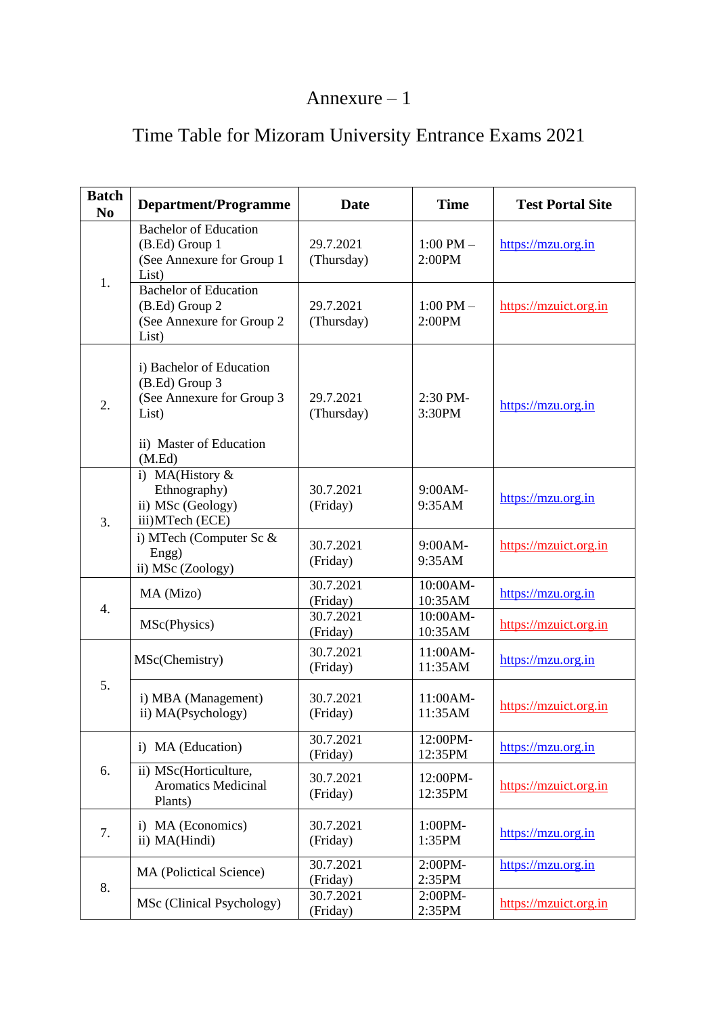## Annexure – 1

| <b>Batch</b><br>N <sub>0</sub> | <b>Department/Programme</b>                                                                                           | <b>Date</b>             | <b>Time</b>             | <b>Test Portal Site</b> |
|--------------------------------|-----------------------------------------------------------------------------------------------------------------------|-------------------------|-------------------------|-------------------------|
| 1.                             | <b>Bachelor of Education</b><br>(B.Ed) Group 1<br>(See Annexure for Group 1<br>List)                                  | 29.7.2021<br>(Thursday) | $1:00$ PM $-$<br>2:00PM | https://mzu.org.in      |
|                                | <b>Bachelor of Education</b><br>(B.Ed) Group 2<br>(See Annexure for Group 2)<br>List)                                 | 29.7.2021<br>(Thursday) | $1:00$ PM $-$<br>2:00PM | https://mzuict.org.in   |
| 2.                             | i) Bachelor of Education<br>(B.Ed) Group 3<br>(See Annexure for Group 3<br>List)<br>ii) Master of Education<br>(M.Ed) | 29.7.2021<br>(Thursday) | 2:30 PM-<br>3:30PM      | https://mzu.org.in      |
| 3.                             | i) MA(History &<br>Ethnography)<br>ii) MSc (Geology)<br>iii) MTech (ECE)                                              | 30.7.2021<br>(Friday)   | 9:00AM-<br>9:35AM       | https://mzu.org.in      |
|                                | i) MTech (Computer Sc &<br>Engg)<br>ii) MSc (Zoology)                                                                 | 30.7.2021<br>(Friday)   | 9:00AM-<br>9:35AM       | https://mzuict.org.in   |
| $\overline{4}$ .               | MA (Mizo)                                                                                                             | 30.7.2021<br>(Friday)   | 10:00AM-<br>10:35AM     | https://mzu.org.in      |
|                                | MSc(Physics)                                                                                                          | 30.7.2021<br>(Friday)   | 10:00AM-<br>10:35AM     | https://mzuict.org.in   |
| 5.                             | MSc(Chemistry)                                                                                                        | 30.7.2021<br>(Friday)   | 11:00AM-<br>11:35AM     | https://mzu.org.in      |
|                                | i) MBA (Management)<br>ii) MA(Psychology)                                                                             | 30.7.2021<br>(Friday)   | 11:00AM-<br>11:35AM     | https://mzuict.org.in   |
| 6.                             | i) MA (Education)                                                                                                     | 30.7.2021<br>(Friday)   | 12:00PM-<br>12:35PM     | https://mzu.org.in      |
|                                | ii) MSc(Horticulture,<br><b>Aromatics Medicinal</b><br>Plants)                                                        | 30.7.2021<br>(Friday)   | 12:00PM-<br>12:35PM     | https://mzuict.org.in   |
| 7.                             | i) MA (Economics)<br>ii) MA(Hindi)                                                                                    | 30.7.2021<br>(Friday)   | 1:00PM-<br>1:35PM       | https://mzu.org.in      |
| 8.                             | MA (Polictical Science)                                                                                               | 30.7.2021<br>(Friday)   | 2:00PM-<br>2:35PM       | https://mzu.org.in      |
|                                | MSc (Clinical Psychology)                                                                                             | 30.7.2021<br>(Friday)   | 2:00PM-<br>2:35PM       | https://mzuict.org.in   |

## Time Table for Mizoram University Entrance Exams 2021